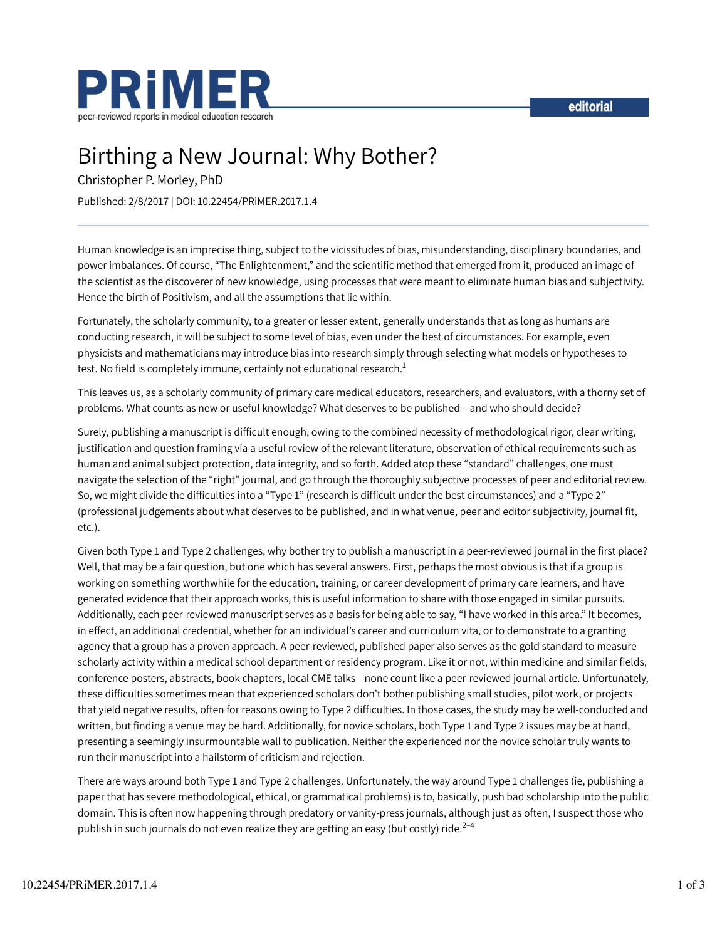



# Birthing a New Journal: Why Bother?

Christopher P. Morley, PhD

Published: 2/8/2017 | DOI: 10.22454/PRiMER.2017.1.4

Human knowledge is an imprecise thing, subject to the vicissitudes of bias, misunderstanding, disciplinary boundaries, and power imbalances. Of course, "The Enlightenment," and the scientific method that emerged from it, produced an image of the scientist as the discoverer of new knowledge, using processes that were meant to eliminate human bias and subjectivity. Hence the birth of Positivism, and all the assumptions that lie within.

Fortunately, the scholarly community, to a greater or lesser extent, generally understands that as long as humans are conducting research, it will be subject to some level of bias, even under the best of circumstances. For example, even physicists and mathematicians may introduce bias into research simply through selecting what models or hypotheses to test. No field is completely immune, certainly not educational research.<sup>1</sup>

This leaves us, as a scholarly community of primary care medical educators, researchers, and evaluators, with a thorny set of problems. What counts as new or useful knowledge? What deserves to be published – and who should decide?

Surely, publishing a manuscript is difficult enough, owing to the combined necessity of methodological rigor, clear writing, justification and question framing via a useful review of the relevant literature, observation of ethical requirements such as human and animal subject protection, data integrity, and so forth. Added atop these "standard" challenges, one must navigate the selection of the "right" journal, and go through the thoroughly subjective processes of peer and editorial review. So, we might divide the difficulties into a "Type 1" (research is difficult under the best circumstances) and a "Type 2" (professional judgements about what deserves to be published, and in what venue, peer and editor subjectivity, journal fit, etc.).

Given both Type 1 and Type 2 challenges, why bother try to publish a manuscript in a peer-reviewed journal in the first place? Well, that may be a fair question, but one which has several answers. First, perhaps the most obvious is that if a group is working on something worthwhile for the education, training, or career development of primary care learners, and have generated evidence that their approach works, this is useful information to share with those engaged in similar pursuits. Additionally, each peer-reviewed manuscript serves as a basis for being able to say, "I have worked in this area." It becomes, in effect, an additional credential, whether for an individual's career and curriculum vita, or to demonstrate to a granting agency that a group has a proven approach. A peer-reviewed, published paper also serves as the gold standard to measure scholarly activity within a medical school department or residency program. Like it or not, within medicine and similar fields, conference posters, abstracts, book chapters, local CME talks—none count like a peer-reviewed journal article. Unfortunately, these difficulties sometimes mean that experienced scholars don't bother publishing small studies, pilot work, or projects that yield negative results, often for reasons owing to Type 2 difficulties. In those cases, the study may be well-conducted and written, but finding a venue may be hard. Additionally, for novice scholars, both Type 1 and Type 2 issues may be at hand, presenting a seemingly insurmountable wall to publication. Neither the experienced nor the novice scholar truly wants to run their manuscript into a hailstorm of criticism and rejection.

There are ways around both Type 1 and Type 2 challenges. Unfortunately, the way around Type 1 challenges (ie, publishing a paper that has severe methodological, ethical, or grammatical problems) is to, basically, push bad scholarship into the public domain. This is often now happening through predatory or vanity-press journals, although just as often, I suspect those who publish in such journals do not even realize they are getting an easy (but costly) ride.<sup>2–4</sup>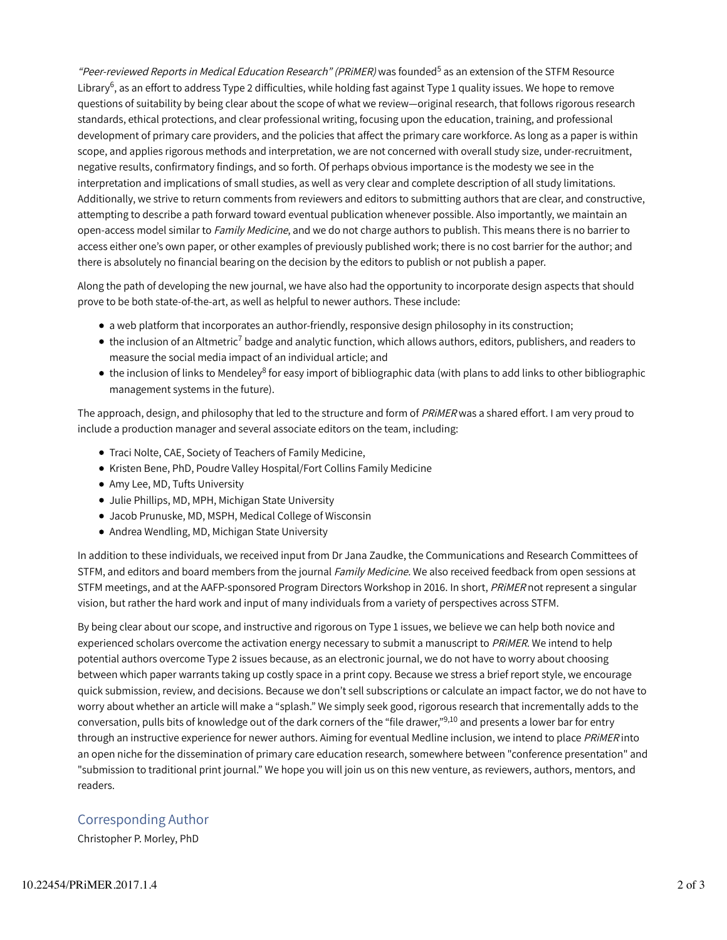"*Peer-reviewed Reports in Medical Education Research" (PRiMER)* was founded<sup>5</sup> as an extension of the STFM Resource Library $^6$ , as an effort to address Type 2 difficulties, while holding fast against Type 1 quality issues. We hope to remove questions of suitability by being clear about the scope of what we review—original research, that follows rigorous research standards, ethical protections, and clear professional writing, focusing upon the education, training, and professional development of primary care providers, and the policies that affect the primary care workforce. As long as a paper is within scope, and applies rigorous methods and interpretation, we are not concerned with overall study size, under-recruitment, negative results, confirmatory findings, and so forth. Of perhaps obvious importance is the modesty we see in the interpretation and implications of small studies, as well as very clear and complete description of all study limitations. Additionally, we strive to return comments from reviewers and editors to submitting authors that are clear, and constructive, attempting to describe a path forward toward eventual publication whenever possible. Also importantly, we maintain an open-access model similar to Family Medicine, and we do not charge authors to publish. This means there is no barrier to access either one's own paper, or other examples of previously published work; there is no cost barrier for the author; and there is absolutely no financial bearing on the decision by the editors to publish or not publish a paper.

Along the path of developing the new journal, we have also had the opportunity to incorporate design aspects that should prove to be both state-of-the-art, as well as helpful to newer authors. These include:

- a web platform that incorporates an author-friendly, responsive design philosophy in its construction;
- the inclusion of an Altmetric<sup>7</sup> badge and analytic function, which allows authors, editors, publishers, and readers to measure the social media impact of an individual article; and
- the inclusion of links to Mendeley<sup>8</sup> for easy import of bibliographic data (with plans to add links to other bibliographic management systems in the future).

The approach, design, and philosophy that led to the structure and form of PRIMER was a shared effort. I am very proud to include a production manager and several associate editors on the team, including:

- Traci Nolte, CAE, Society of Teachers of Family Medicine,
- Kristen Bene, PhD, Poudre Valley Hospital/Fort Collins Family Medicine
- Amy Lee, MD, Tufts University
- Julie Phillips, MD, MPH, Michigan State University
- Jacob Prunuske, MD, MSPH, Medical College of Wisconsin
- Andrea Wendling, MD, Michigan State University

In addition to these individuals, we received input from Dr Jana Zaudke, the Communications and Research Committees of STFM, and editors and board members from the journal Family Medicine. We also received feedback from open sessions at STFM meetings, and at the AAFP-sponsored Program Directors Workshop in 2016. In short, PRIMER not represent a singular vision, but rather the hard work and input of many individuals from a variety of perspectives across STFM.

By being clear about our scope, and instructive and rigorous on Type 1 issues, we believe we can help both novice and experienced scholars overcome the activation energy necessary to submit a manuscript to PRIMER. We intend to help potential authors overcome Type 2 issues because, as an electronic journal, we do not have to worry about choosing between which paper warrants taking up costly space in a print copy. Because we stress a brief report style, we encourage quick submission, review, and decisions. Because we don't sell subscriptions or calculate an impact factor, we do not have to worry about whether an article will make a "splash." We simply seek good, rigorous research that incrementally adds to the conversation, pulls bits of knowledge out of the dark corners of the "file drawer,"<sup>9,10</sup> and presents a lower bar for entry through an instructive experience for newer authors. Aiming for eventual Medline inclusion, we intend to place PRIMER into an open niche for the dissemination of primary care education research, somewhere between "conference presentation" and "submission to traditional print journal." We hope you will join us on this new venture, as reviewers, authors, mentors, and readers.

### Corresponding Author

Christopher P. Morley, PhD